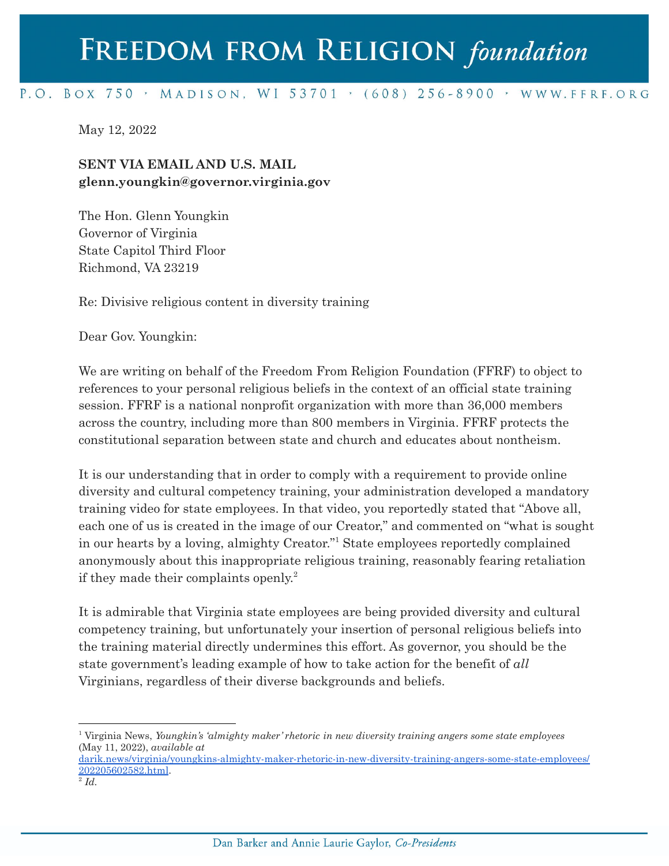## FREEDOM FROM RELIGION foundation

## P.O. BOX 750 > MADISON, WI 53701 > (608) 256-8900 > WWW.FFRF.ORG

May 12, 2022

## **SENT VIA EMAIL AND U.S. MAIL glenn.youngkin@governor.virginia.gov**

The Hon. Glenn Youngkin Governor of Virginia State Capitol Third Floor Richmond, VA 23219

Re: Divisive religious content in diversity training

Dear Gov. Youngkin:

We are writing on behalf of the Freedom From Religion Foundation (FFRF) to object to references to your personal religious beliefs in the context of an official state training session. FFRF is a national nonprofit organization with more than 36,000 members across the country, including more than 800 members in Virginia. FFRF protects the constitutional separation between state and church and educates about nontheism.

It is our understanding that in order to comply with a requirement to provide online diversity and cultural competency training, your administration developed a mandatory training video for state employees. In that video, you reportedly stated that "Above all, each one of us is created in the image of our Creator," and commented on "what is sought in our hearts by a loving, almighty Creator."<sup>1</sup> State employees reportedly complained anonymously about this inappropriate religious training, reasonably fearing retaliation if they made their complaints openly. 2

It is admirable that Virginia state employees are being provided diversity and cultural competency training, but unfortunately your insertion of personal religious beliefs into the training material directly undermines this effort. As governor, you should be the state government's leading example of how to take action for the benefit of *all* Virginians, regardless of their diverse backgrounds and beliefs.

<sup>1</sup> Virginia News, *Youngkin's 'almighty maker' rhetoric in new diversity training angers some state employees* (May 11, 2022), *available at*

[darik.news/virginia/youngkins-almighty-maker-rhetoric-in-new-diversity-training-angers-some-state-employees/](https://darik.news/virginia/youngkins-almighty-maker-rhetoric-in-new-diversity-training-angers-some-state-employees/202205602582.html) [202205602582.html](https://darik.news/virginia/youngkins-almighty-maker-rhetoric-in-new-diversity-training-angers-some-state-employees/202205602582.html).

 $\overline{^2}$ *Id.*